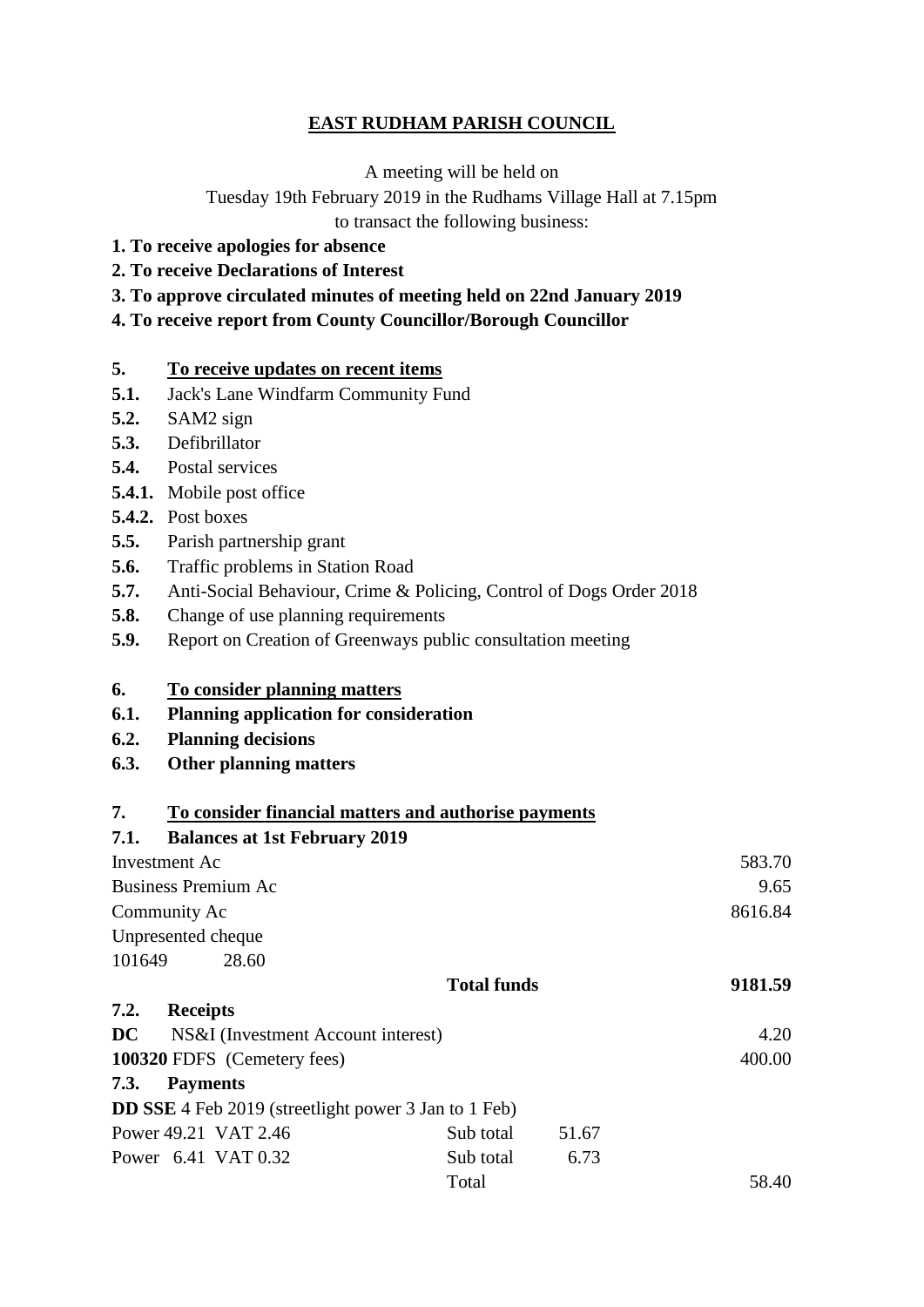#### **EAST RUDHAM PARISH COUNCIL**

A meeting will be held on

Tuesday 19th February 2019 in the Rudhams Village Hall at 7.15pm to transact the following business:

- **1. To receive apologies for absence**
- **2. To receive Declarations of Interest**
- **3. To approve circulated minutes of meeting held on 22nd January 2019**
- **4. To receive report from County Councillor/Borough Councillor**

#### **5. To receive updates on recent items**

- **5.1.** Jack's Lane Windfarm Community Fund
- **5.2.** SAM2 sign
- **5.3.** Defibrillator
- **5.4.** Postal services
- **5.4.1.** Mobile post office
- **5.4.2.** Post boxes
- **5.5.** Parish partnership grant
- **5.6.** Traffic problems in Station Road
- **5.7.** Anti-Social Behaviour, Crime & Policing, Control of Dogs Order 2018
- **5.8.** Change of use planning requirements
- **5.9.** Report on Creation of Greenways public consultation meeting

#### **6. To consider planning matters**

- **6.1. Planning application for consideration**
- **6.2. Planning decisions**
- **6.3. Other planning matters**

#### **7. To consider financial matters and authorise payments 7.1. Balances at 1st February 2019**

| $7.1.$ Dalances at 1st repruary $2019$   |                                                             |       |         |
|------------------------------------------|-------------------------------------------------------------|-------|---------|
| Investment Ac                            |                                                             |       | 583.70  |
| <b>Business Premium Ac</b>               |                                                             |       | 9.65    |
| Community Ac                             | 8616.84                                                     |       |         |
| Unpresented cheque                       |                                                             |       |         |
| 101649<br>28.60                          |                                                             |       |         |
|                                          | <b>Total funds</b>                                          |       | 9181.59 |
| 7.2.<br><b>Receipts</b>                  |                                                             |       |         |
| DC<br>NS&I (Investment Account interest) |                                                             |       | 4.20    |
| 100320 FDFS (Cemetery fees)              |                                                             |       | 400.00  |
| <b>Payments</b><br>7.3.                  |                                                             |       |         |
|                                          | <b>DD SSE</b> 4 Feb 2019 (streetlight power 3 Jan to 1 Feb) |       |         |
| Power 49.21 VAT 2.46                     | Sub total                                                   | 51.67 |         |
| Power 6.41 VAT 0.32                      | Sub total                                                   | 6.73  |         |
|                                          | Total                                                       |       | 58.40   |
|                                          |                                                             |       |         |